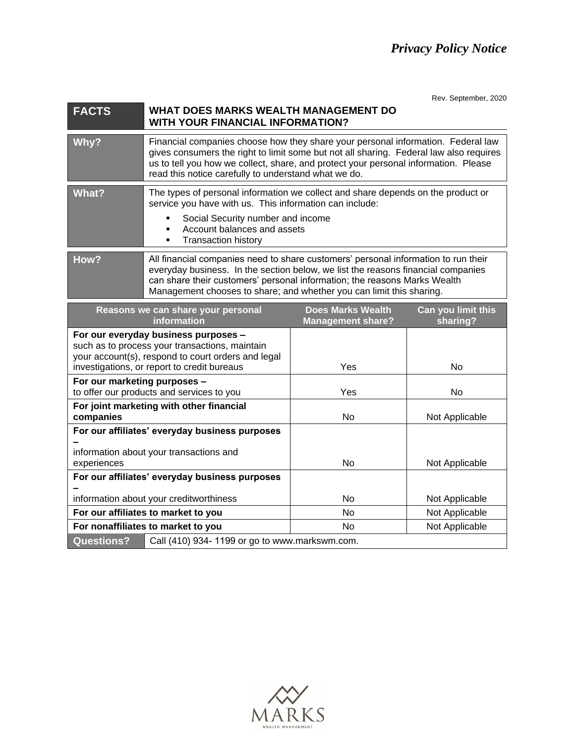Rev. September, 2020

## **FACTS WHAT DOES MARKS WEALTH MANAGEMENT DO WITH YOUR FINANCIAL INFORMATION?**

| Why?  | Financial companies choose how they share your personal information. Federal law<br>gives consumers the right to limit some but not all sharing. Federal law also requires<br>us to tell you how we collect, share, and protect your personal information. Please<br>read this notice carefully to understand what we do. |  |  |
|-------|---------------------------------------------------------------------------------------------------------------------------------------------------------------------------------------------------------------------------------------------------------------------------------------------------------------------------|--|--|
|       |                                                                                                                                                                                                                                                                                                                           |  |  |
| What? | The types of personal information we collect and share depends on the product or<br>service you have with us. This information can include:                                                                                                                                                                               |  |  |
|       | Social Security number and income                                                                                                                                                                                                                                                                                         |  |  |
|       | Account balances and assets                                                                                                                                                                                                                                                                                               |  |  |
|       | <b>Transaction history</b>                                                                                                                                                                                                                                                                                                |  |  |
|       |                                                                                                                                                                                                                                                                                                                           |  |  |
| How?  | All financial companies need to share customers' personal information to run their<br>everyday business. In the section below, we list the reasons financial companies<br>can share their customers' personal information; the reasons Marks Wealth                                                                       |  |  |

Management chooses to share; and whether you can limit this sharing.

| Reasons we can share your personal<br>information                                                                                                                                           |                                               | <b>Does Marks Wealth</b><br><b>Management share?</b> | Can you limit this<br>sharing? |
|---------------------------------------------------------------------------------------------------------------------------------------------------------------------------------------------|-----------------------------------------------|------------------------------------------------------|--------------------------------|
| For our everyday business purposes -<br>such as to process your transactions, maintain<br>your account(s), respond to court orders and legal<br>investigations, or report to credit bureaus |                                               | Yes                                                  | No                             |
| For our marketing purposes -<br>to offer our products and services to you                                                                                                                   |                                               | Yes                                                  | No                             |
| For joint marketing with other financial<br>companies                                                                                                                                       |                                               | No.                                                  | Not Applicable                 |
| For our affiliates' everyday business purposes<br>information about your transactions and<br>experiences                                                                                    |                                               | No.                                                  | Not Applicable                 |
| For our affiliates' everyday business purposes                                                                                                                                              |                                               |                                                      |                                |
| information about your creditworthiness                                                                                                                                                     |                                               | No.                                                  | Not Applicable                 |
| For our affiliates to market to you                                                                                                                                                         |                                               | N <sub>o</sub>                                       | Not Applicable                 |
| For nonaffiliates to market to you                                                                                                                                                          |                                               | No.                                                  | Not Applicable                 |
| <b>Questions?</b>                                                                                                                                                                           | Call (410) 934-1199 or go to www.markswm.com. |                                                      |                                |